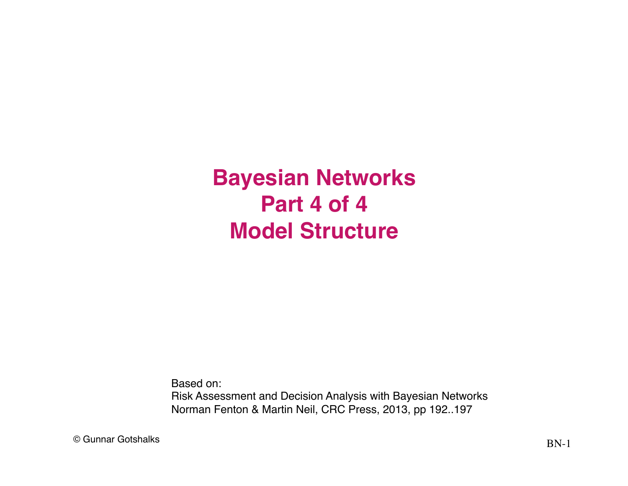**Bayesian Networks Part 4 of 4 Model Structure**

Based on: Risk Assessment and Decision Analysis with Bayesian Networks Norman Fenton & Martin Neil, CRC Press, 2013, pp 192..197

 $\odot$  Gunnar Gotshalks  $BN-1$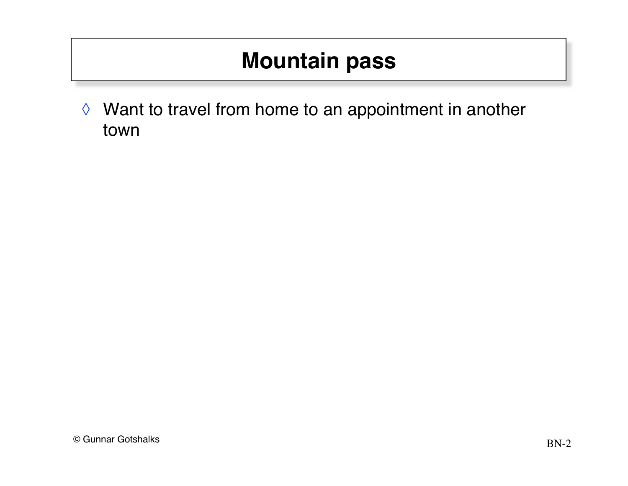◊ Want to travel from home to an appointment in another town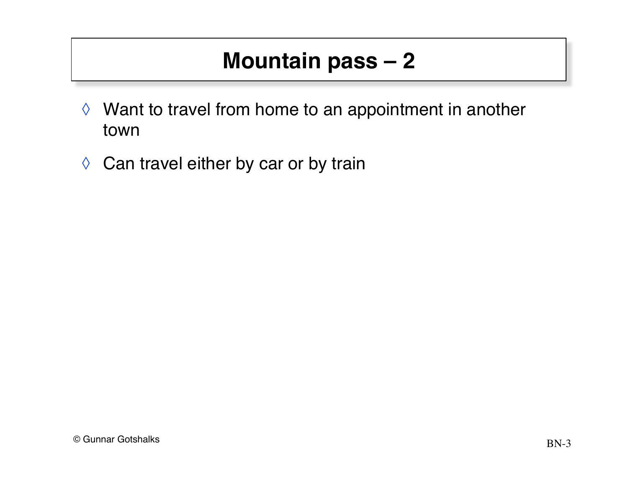- ◊ Want to travel from home to an appointment in another town
- ◊ Can travel either by car or by train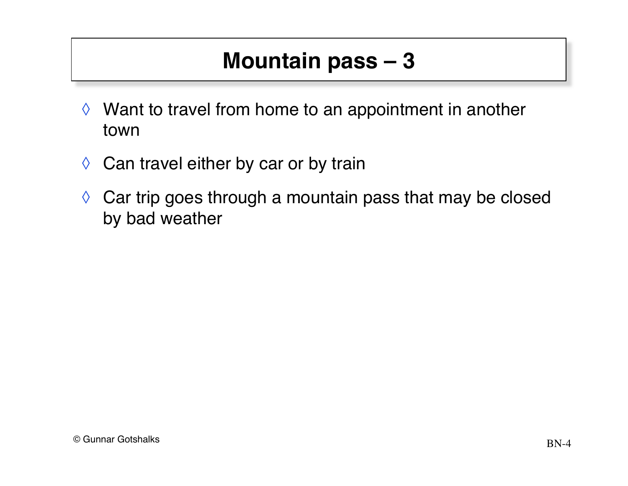- ◊ Want to travel from home to an appointment in another town
- ◊ Can travel either by car or by train
- $\Diamond$  Car trip goes through a mountain pass that may be closed by bad weather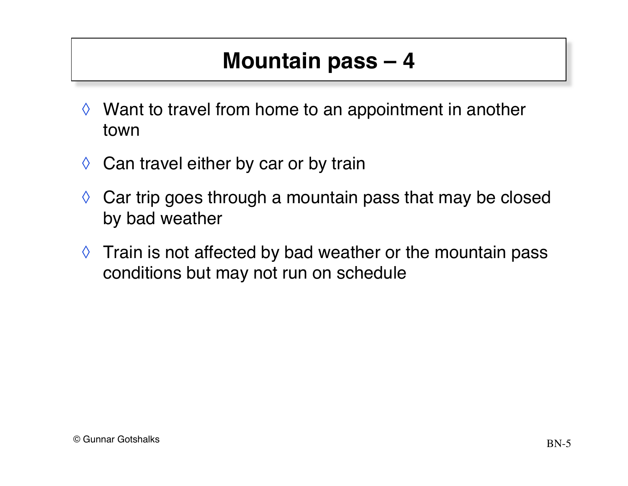- ◊ Want to travel from home to an appointment in another town
- $\Diamond$  Can travel either by car or by train
- $\Diamond$  Car trip goes through a mountain pass that may be closed by bad weather
- $\Diamond$  Train is not affected by bad weather or the mountain pass conditions but may not run on schedule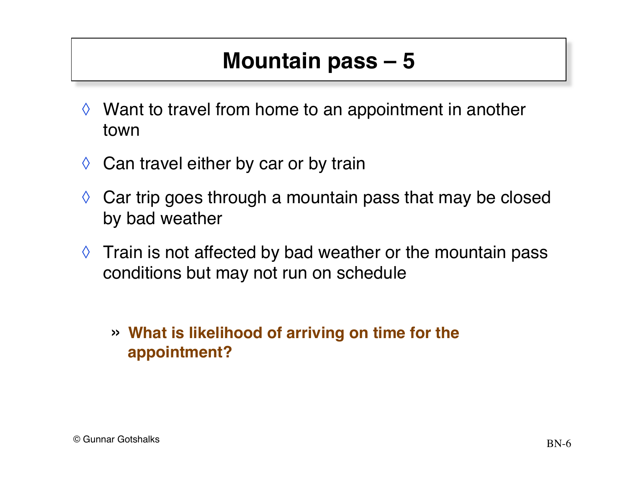- $\Diamond$  Want to travel from home to an appointment in another town
- $\Diamond$  Can travel either by car or by train
- $\Diamond$  Car trip goes through a mountain pass that may be closed by bad weather
- $\Diamond$  Train is not affected by bad weather or the mountain pass conditions but may not run on schedule
	- » **What is likelihood of arriving on time for the appointment?**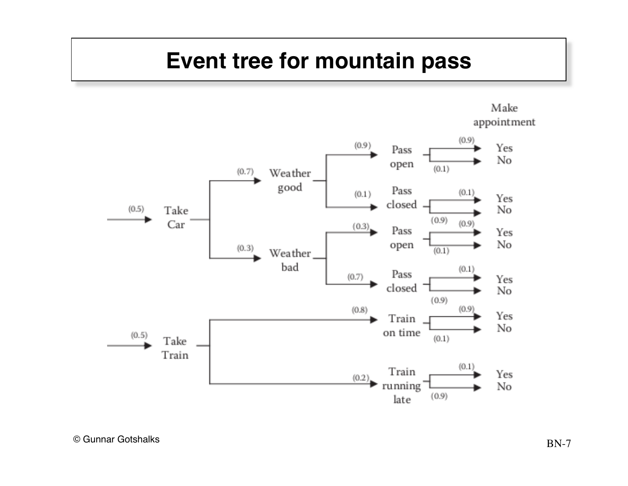#### **Event tree for mountain pass**

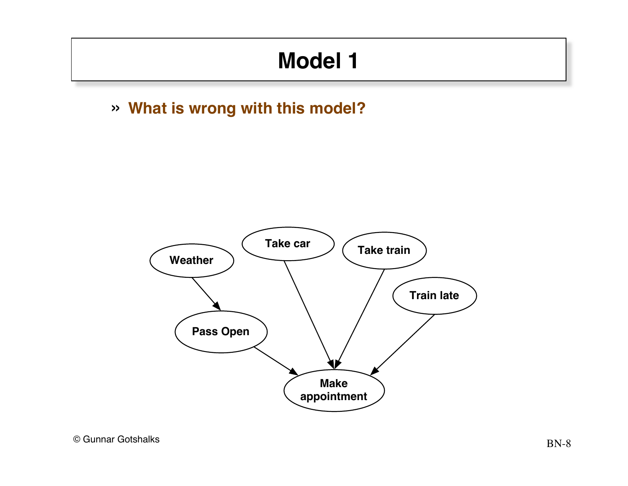# **Model 1**

#### » **What is wrong with this model?**

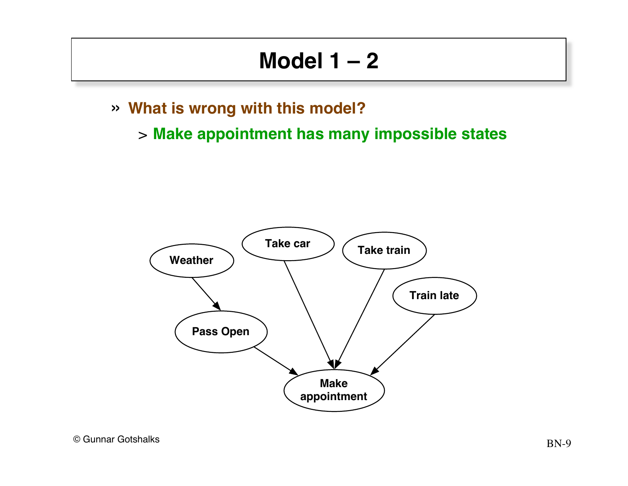#### **Model 1 – 2**

- » **What is wrong with this model?**
	- > **Make appointment has many impossible states**

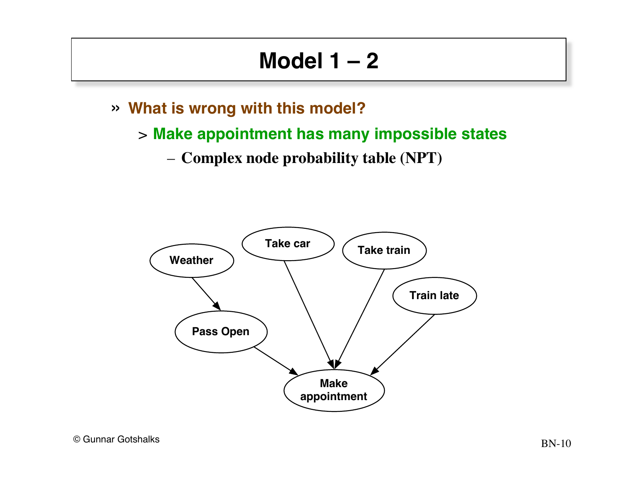#### **Model 1 – 2**

- » **What is wrong with this model?**
	- > **Make appointment has many impossible states**
		- **Complex node probability table (NPT)**

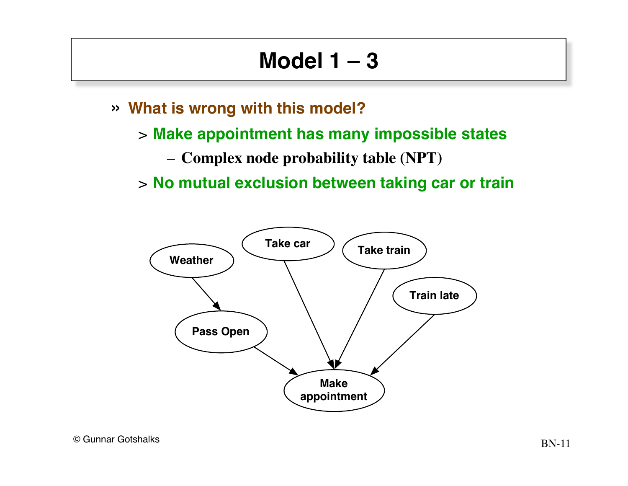#### **Model 1 – 3**

- » **What is wrong with this model?**
	- > **Make appointment has many impossible states**
		- **Complex node probability table (NPT)**
	- > **No mutual exclusion between taking car or train**

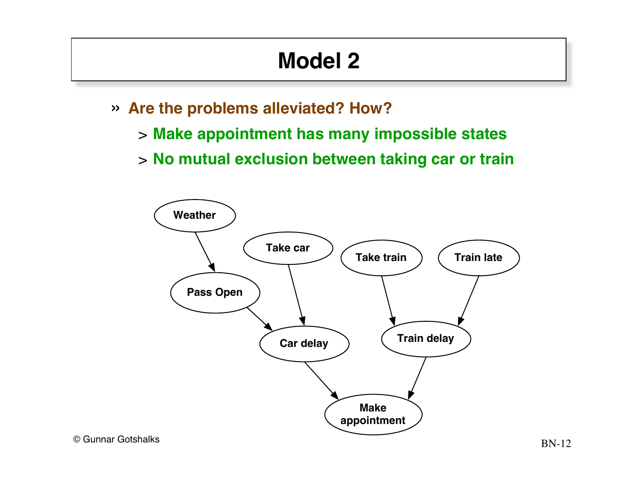# **Model 2**

- » **Are the problems alleviated? How?**
	- > **Make appointment has many impossible states**
	- > **No mutual exclusion between taking car or train**

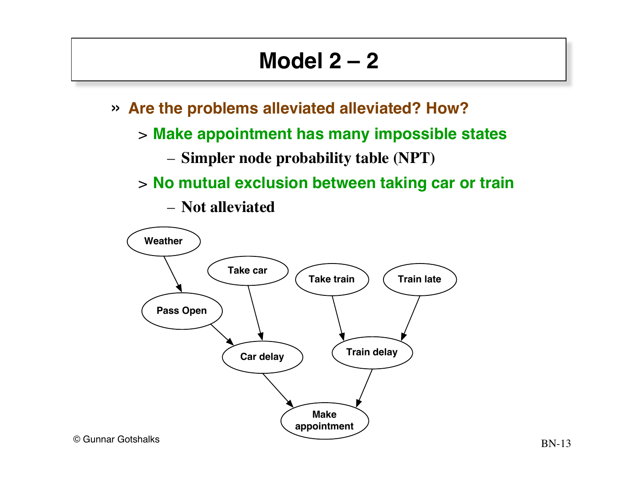## **Model 2 – 2**

- » **Are the problems alleviated alleviated? How?**
	- > **Make appointment has many impossible states**
		- **Simpler node probability table (NPT)**
	- > **No mutual exclusion between taking car or train**

– **Not alleviated** 

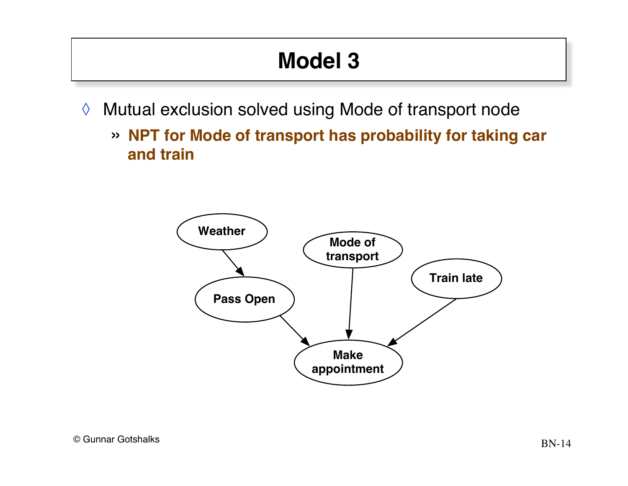# **Model 3**

- ◊ Mutual exclusion solved using Mode of transport node
	- » **NPT for Mode of transport has probability for taking car and train**

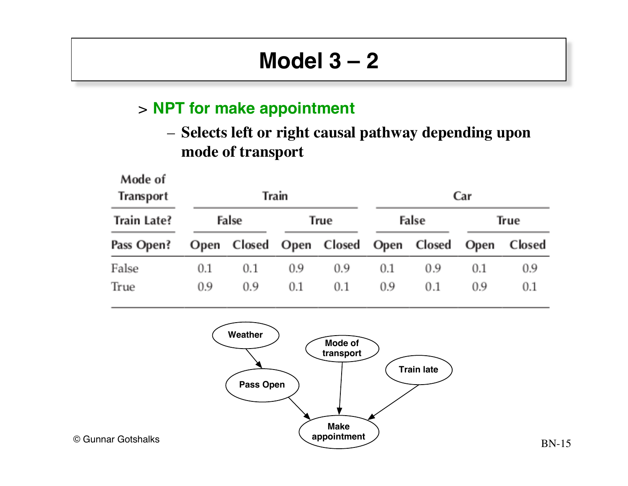# **Model 3 – 2**

#### > **NPT for make appointment**

- 11

 $\sim$   $\sim$ 

- -

– **Selects left or right causal pathway depending upon mode of transport**

| Mode of<br>Transport | Train |     |      |                         | Car   |             |      |        |
|----------------------|-------|-----|------|-------------------------|-------|-------------|------|--------|
| Train Late?          | False |     | True |                         | False |             | True |        |
| Pass Open?           |       |     |      | Open Closed Open Closed |       | Open Closed | Open | Closed |
| False                | 0.1   | 0.1 | 0.9  | 0.9                     | 0.1   | 0.9         | 0.1  | 0.9    |
| True                 | 0.9   | 0.9 | 0.1  | 0.1                     | 0.9   | 0.1         | 0.9  | 0.1    |

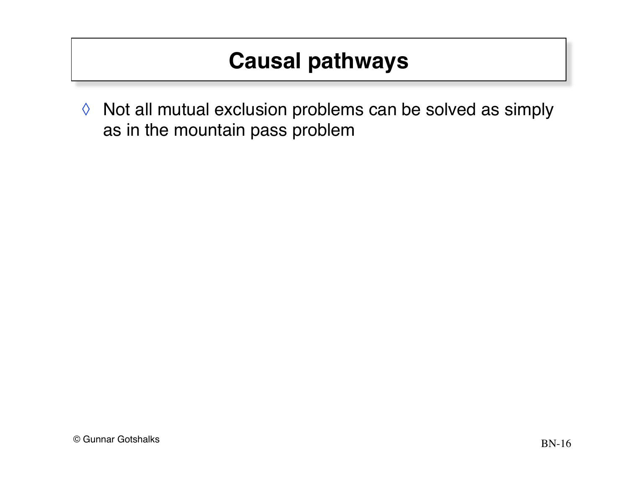## **Causal pathways**

◊ Not all mutual exclusion problems can be solved as simply as in the mountain pass problem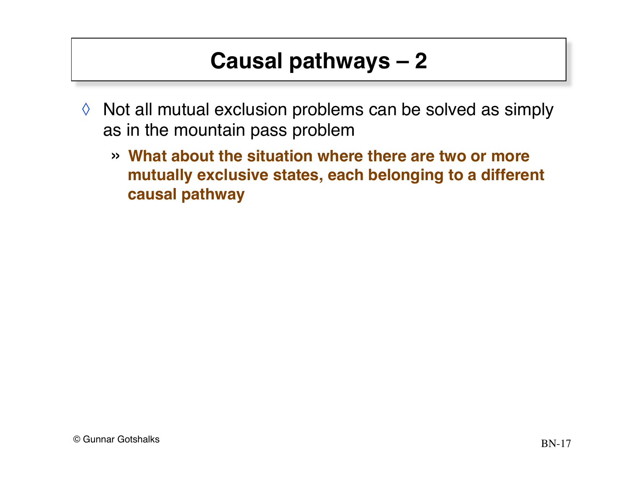# **Causal pathways – 2**

- ◊ Not all mutual exclusion problems can be solved as simply as in the mountain pass problem
	- » **What about the situation where there are two or more mutually exclusive states, each belonging to a different causal pathway**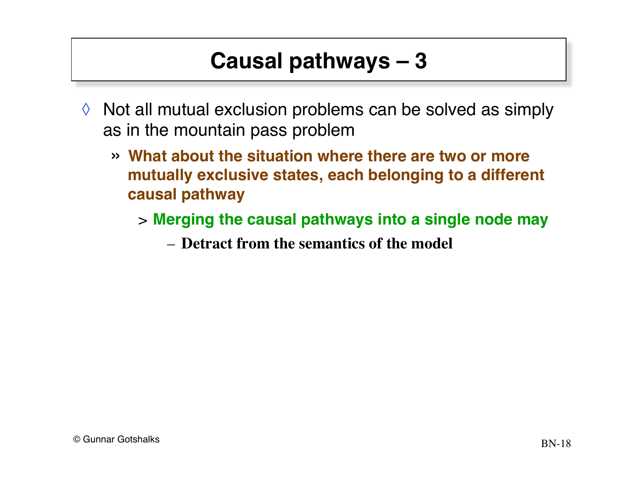# **Causal pathways – 3**

- $\Diamond$  Not all mutual exclusion problems can be solved as simply as in the mountain pass problem
	- » **What about the situation where there are two or more mutually exclusive states, each belonging to a different causal pathway** 
		- > **Merging the causal pathways into a single node may**
			- **Detract from the semantics of the model**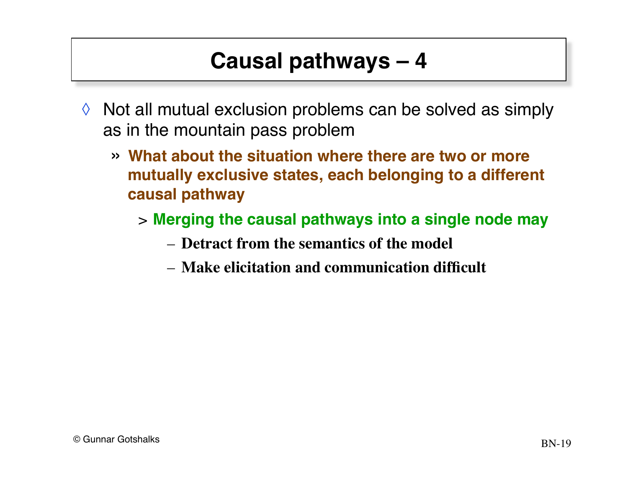# **Causal pathways – 4**

- $\Diamond$  Not all mutual exclusion problems can be solved as simply as in the mountain pass problem
	- » **What about the situation where there are two or more mutually exclusive states, each belonging to a different causal pathway** 
		- > **Merging the causal pathways into a single node may**
			- **Detract from the semantics of the model**
			- **Make elicitation and communication difficult**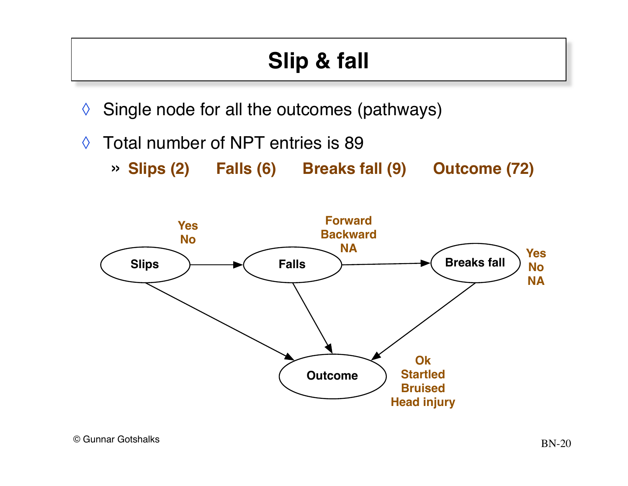# **Slip & fall**

- $\Diamond$  Single node for all the outcomes (pathways)
- ◊ Total number of NPT entries is 89
	- » **Slips (2) Falls (6) Breaks fall (9) Outcome (72)**

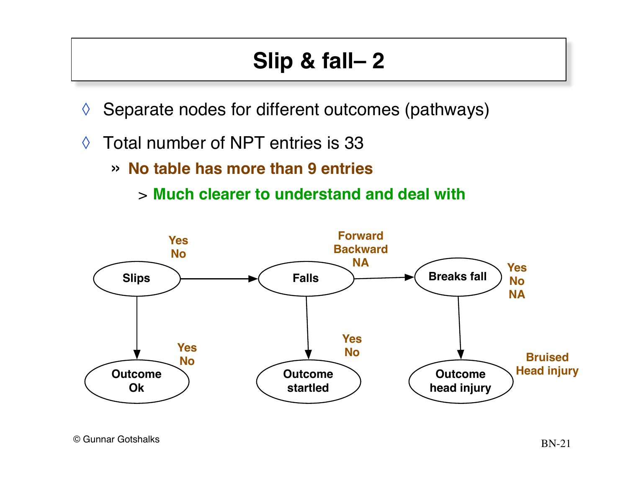# **Slip & fall– 2**

- $\Diamond$  Separate nodes for different outcomes (pathways)
- ◊ Total number of NPT entries is 33
	- » **No table has more than 9 entries**
		- > **Much clearer to understand and deal with**

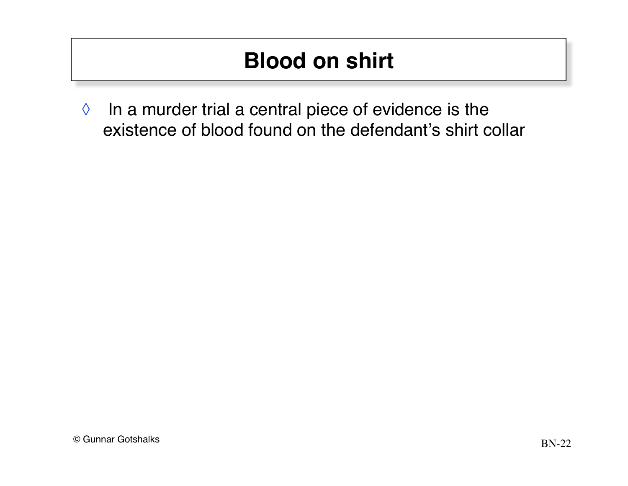◊ In a murder trial a central piece of evidence is the existence of blood found on the defendant's shirt collar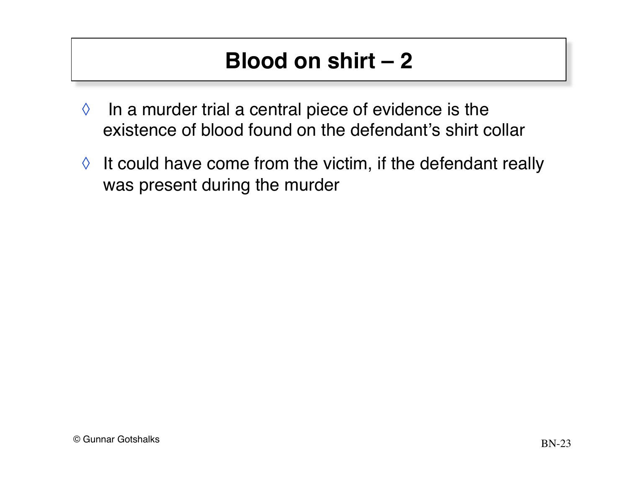- $\Diamond$  In a murder trial a central piece of evidence is the existence of blood found on the defendant's shirt collar
- $\Diamond$  It could have come from the victim, if the defendant really was present during the murder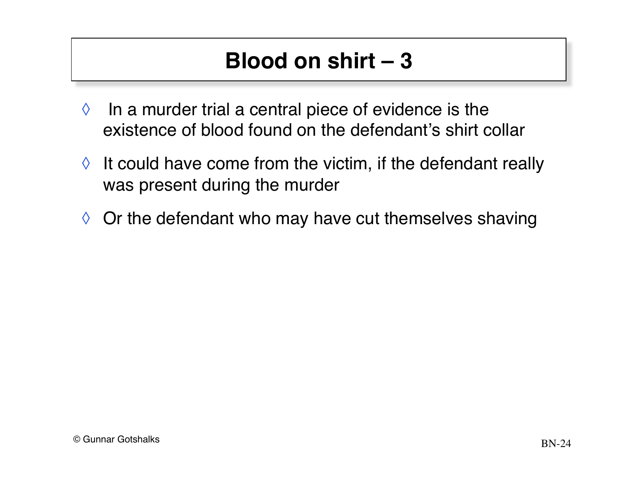- $\Diamond$  In a murder trial a central piece of evidence is the existence of blood found on the defendant's shirt collar
- $\Diamond$  It could have come from the victim, if the defendant really was present during the murder
- $\Diamond$  Or the defendant who may have cut themselves shaving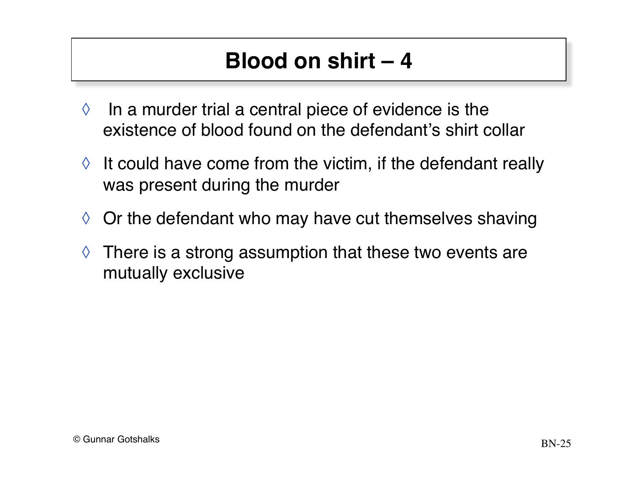- $\Diamond$  In a murder trial a central piece of evidence is the existence of blood found on the defendant's shirt collar
- $\Diamond$  It could have come from the victim, if the defendant really was present during the murder
- $\Diamond$  Or the defendant who may have cut themselves shaving
- $\Diamond$  There is a strong assumption that these two events are mutually exclusive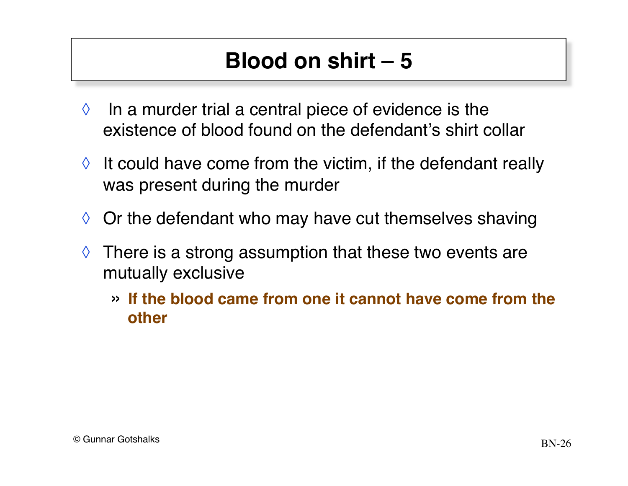- $\Diamond$  In a murder trial a central piece of evidence is the existence of blood found on the defendant's shirt collar
- $\Diamond$  It could have come from the victim, if the defendant really was present during the murder
- $\Diamond$  Or the defendant who may have cut themselves shaving
- $\Diamond$  There is a strong assumption that these two events are mutually exclusive
	- » **If the blood came from one it cannot have come from the other**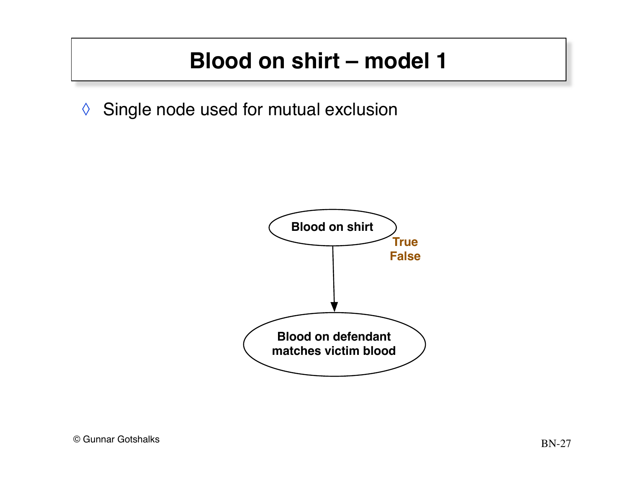◊ Single node used for mutual exclusion

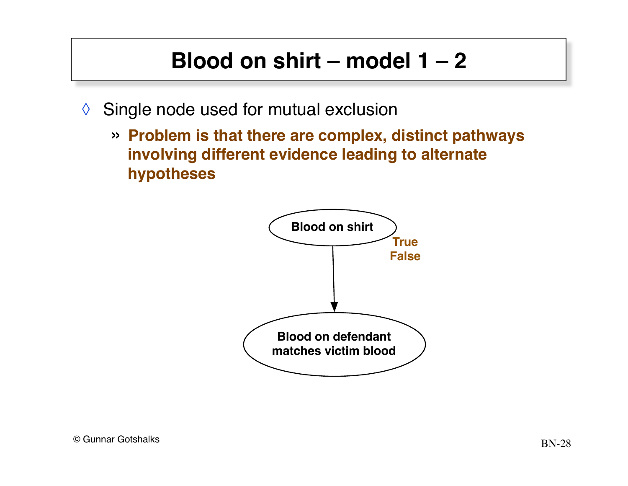- ◊ Single node used for mutual exclusion
	- » **Problem is that there are complex, distinct pathways involving different evidence leading to alternate hypotheses**

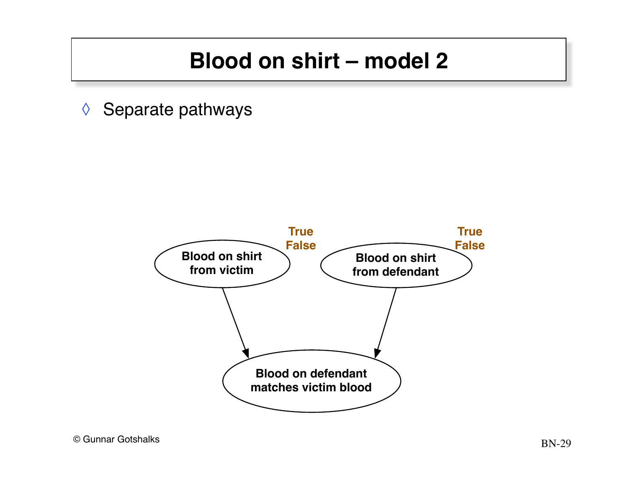◊ Separate pathways

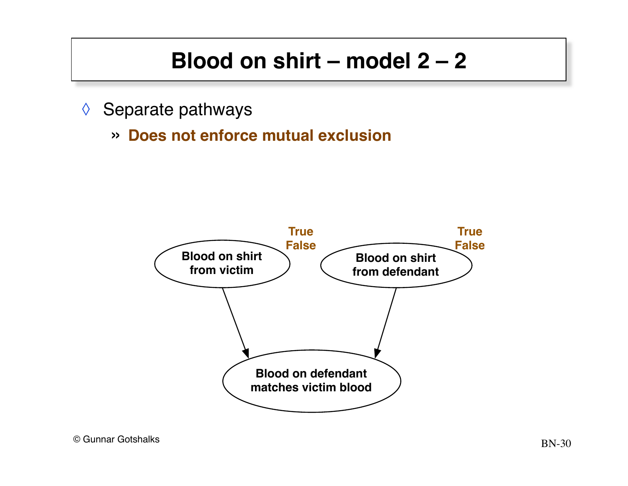- ◊ Separate pathways
	- » **Does not enforce mutual exclusion**

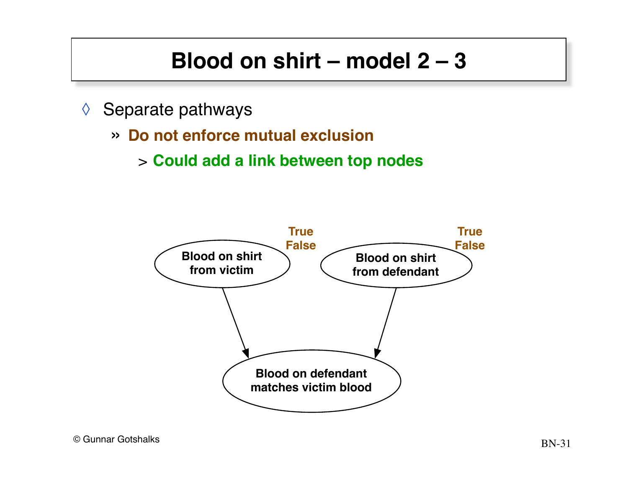- ◊ Separate pathways
	- » **Do not enforce mutual exclusion**
		- > **Could add a link between top nodes**

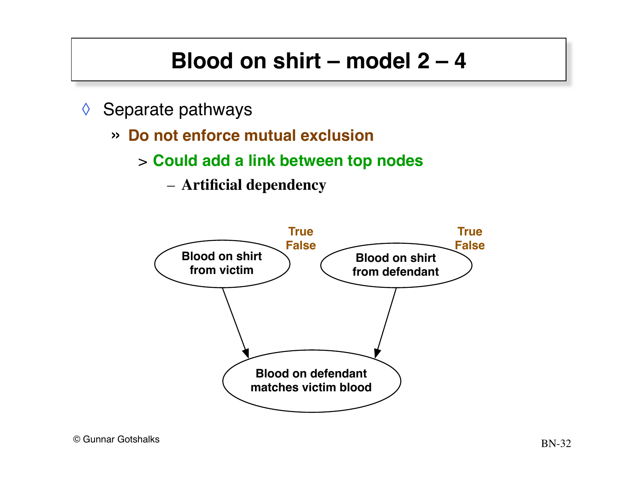- ◊ Separate pathways
	- » **Do not enforce mutual exclusion**
		- > **Could add a link between top nodes**
			- **Artificial dependency**

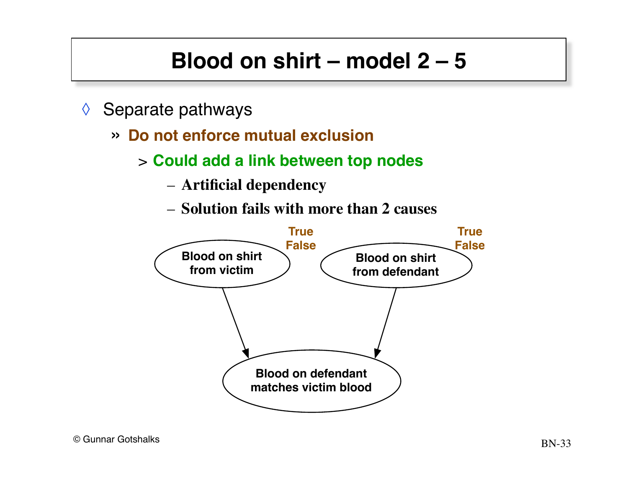- $\Diamond$  Separate pathways
	- » **Do not enforce mutual exclusion**
		- > **Could add a link between top nodes**
			- **Artificial dependency**
			- **Solution fails with more than 2 causes**

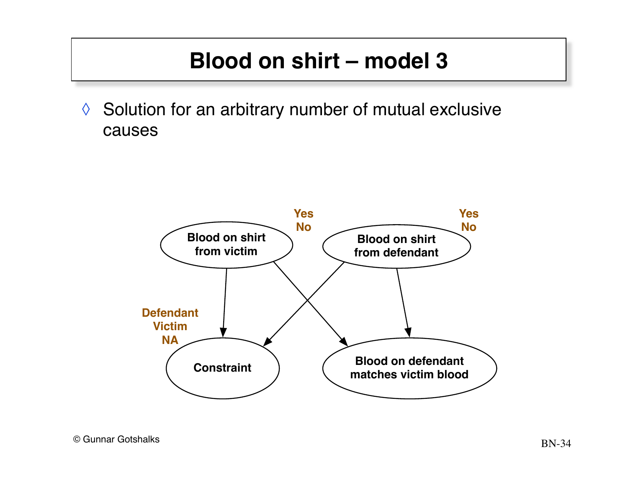◊ Solution for an arbitrary number of mutual exclusive causes

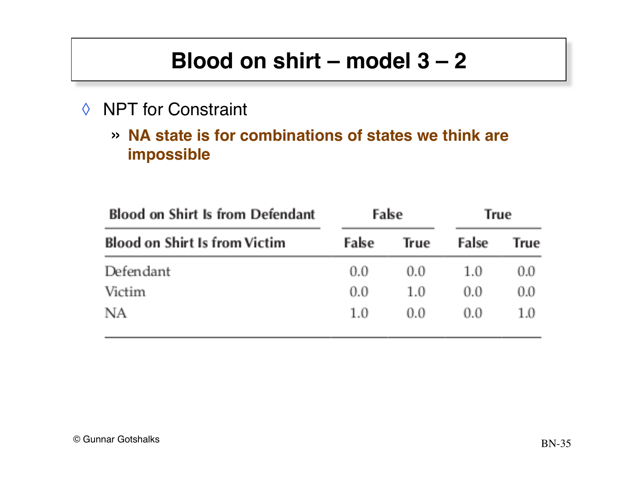#### ◊ NPT for Constraint

» **NA state is for combinations of states we think are impossible**

| <b>Blood on Shirt Is from Defendant</b> |       | False | True  |      |
|-----------------------------------------|-------|-------|-------|------|
| <b>Blood on Shirt Is from Victim</b>    | False | True  | False | True |
| Defendant                               | 0.0   | 0.0   | 1.0   | 0.0  |
| Victim                                  | 0.0   | 1.0   | 0.0   | 0.0  |
| NΑ                                      | 1.0   | 0.0   | 0.0   | 1.0  |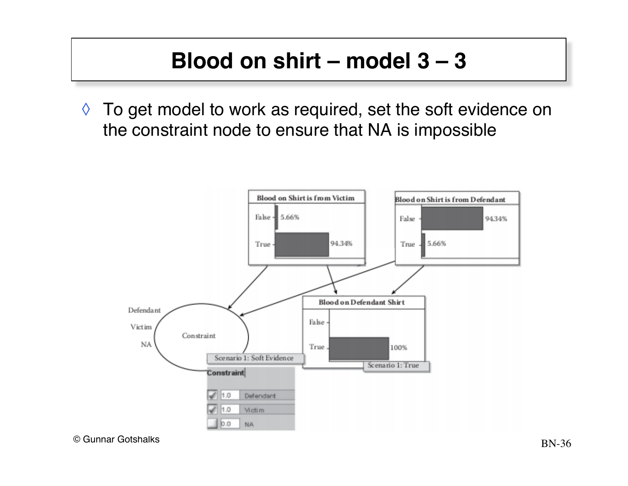$\Diamond$  To get model to work as required, set the soft evidence on the constraint node to ensure that NA is impossible

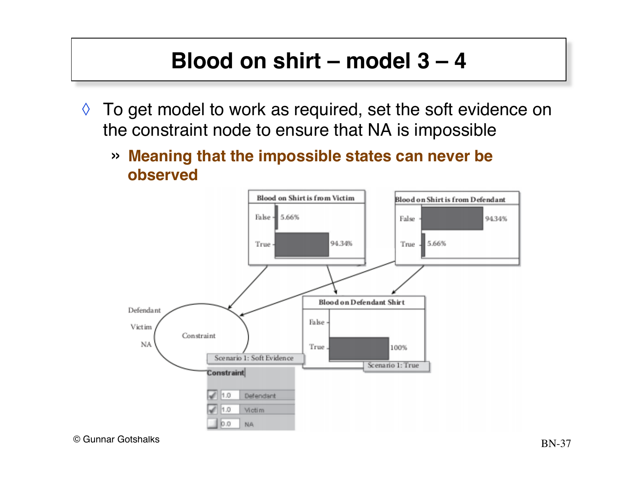- $\Diamond$  To get model to work as required, set the soft evidence on the constraint node to ensure that NA is impossible
	- » **Meaning that the impossible states can never be observed**

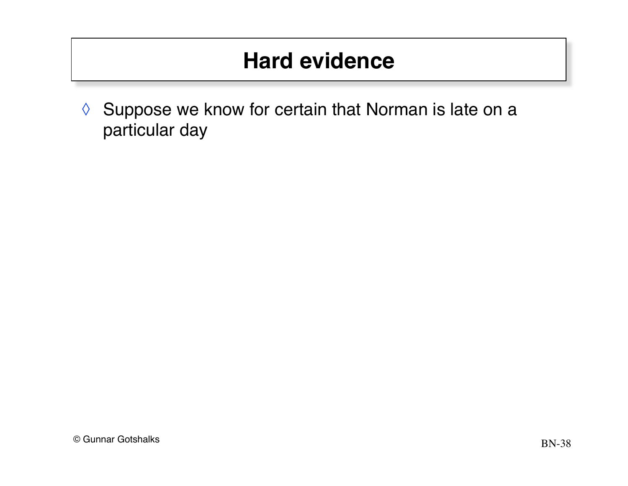#### **Hard evidence**

◊ Suppose we know for certain that Norman is late on a particular day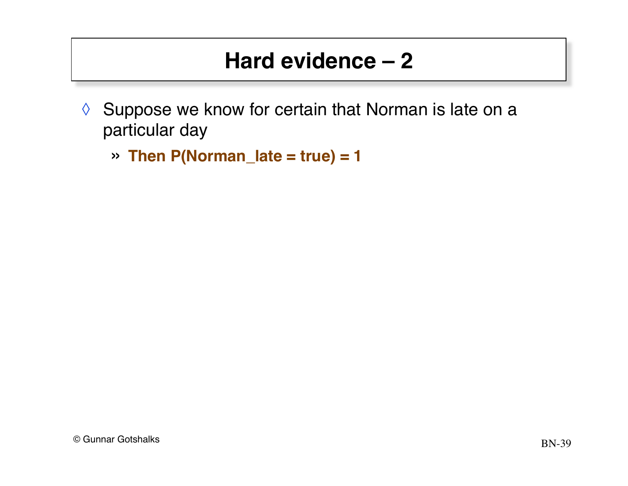#### **Hard evidence – 2**

- ◊ Suppose we know for certain that Norman is late on a particular day
	- » **Then P(Norman\_late = true) = 1**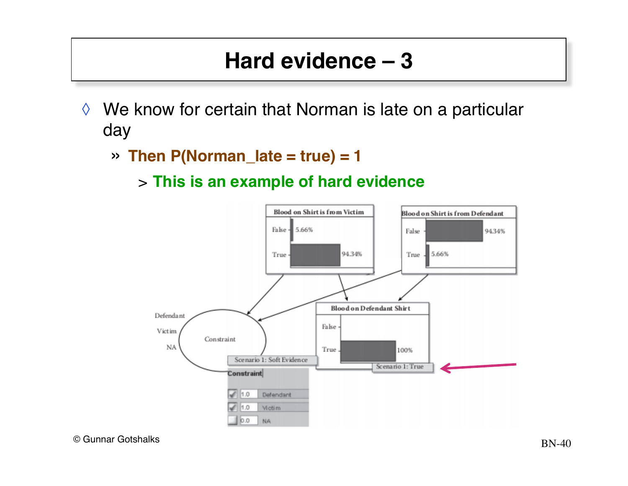#### **Hard evidence – 3**

- ◊ We know for certain that Norman is late on a particular day
	- » **Then P(Norman\_late = true) = 1**
		- > **This is an example of hard evidence**

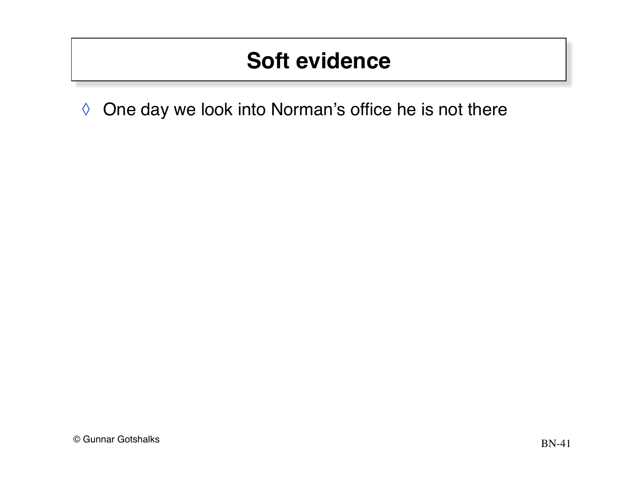◊ One day we look into Norman's office he is not there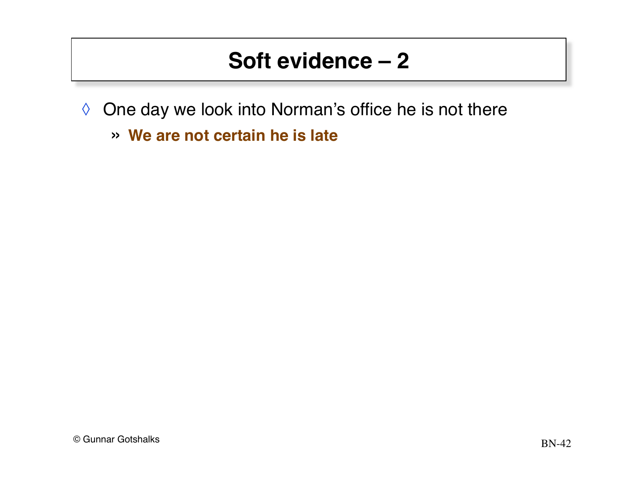- ◊ One day we look into Norman's office he is not there
	- » **We are not certain he is late**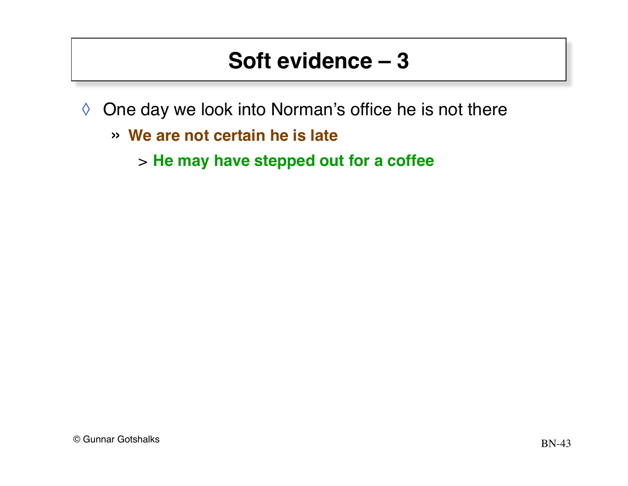- ◊ One day we look into Norman's office he is not there
	- » **We are not certain he is late**
		- > **He may have stepped out for a coffee**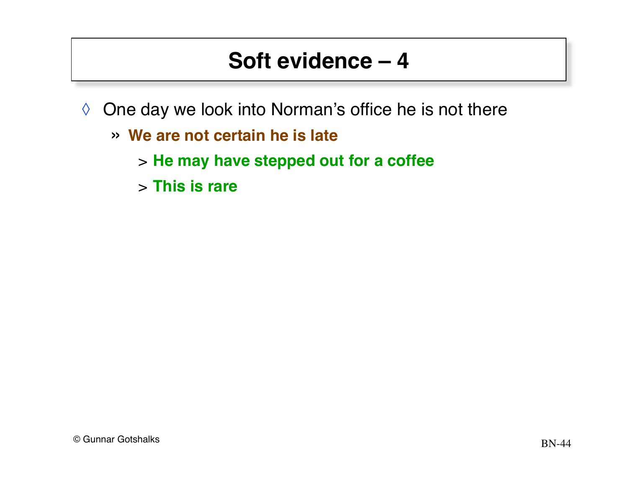- ◊ One day we look into Norman's office he is not there
	- » **We are not certain he is late**
		- > **He may have stepped out for a coffee**
		- > **This is rare**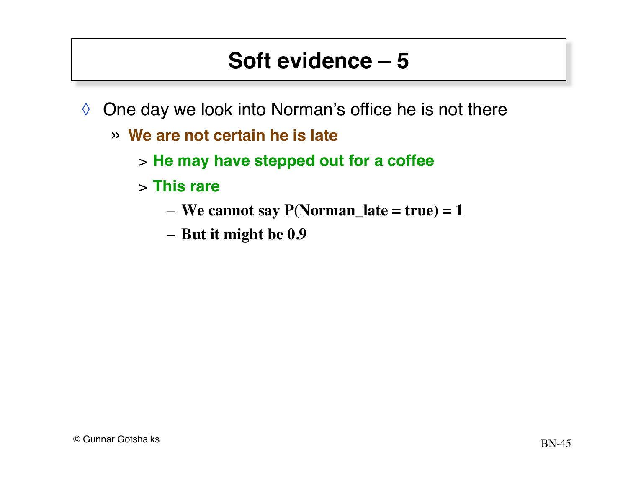- ◊ One day we look into Norman's office he is not there
	- » **We are not certain he is late**
		- > **He may have stepped out for a coffee**
		- > **This rare**
			- **We cannot say P(Norman\_late = true) = 1**
			- **But it might be 0.9**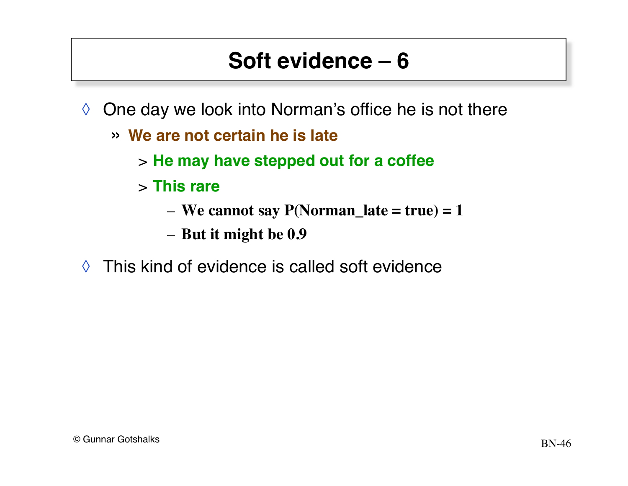- $\Diamond$  One day we look into Norman's office he is not there
	- » **We are not certain he is late**
		- > **He may have stepped out for a coffee**
		- > **This rare**
			- **We cannot say P(Norman\_late = true) = 1**
			- **But it might be 0.9**
- $\Diamond$  This kind of evidence is called soft evidence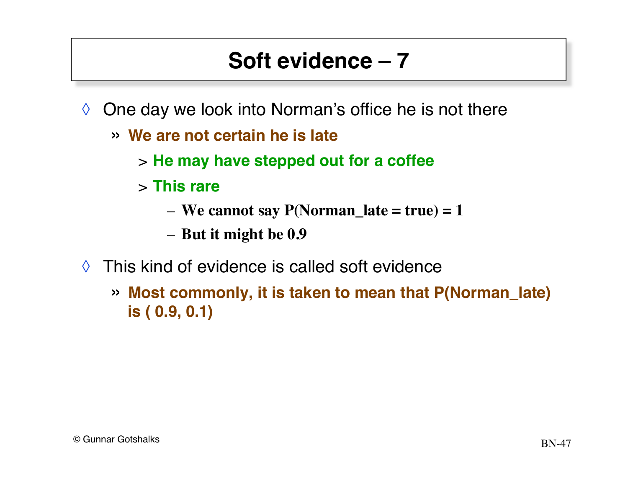- $\Diamond$  One day we look into Norman's office he is not there
	- » **We are not certain he is late**
		- > **He may have stepped out for a coffee**
		- > **This rare**
			- **We cannot say P(Norman\_late = true) = 1**
			- **But it might be 0.9**
- $\Diamond$  This kind of evidence is called soft evidence
	- » **Most commonly, it is taken to mean that P(Norman\_late) is ( 0.9, 0.1)**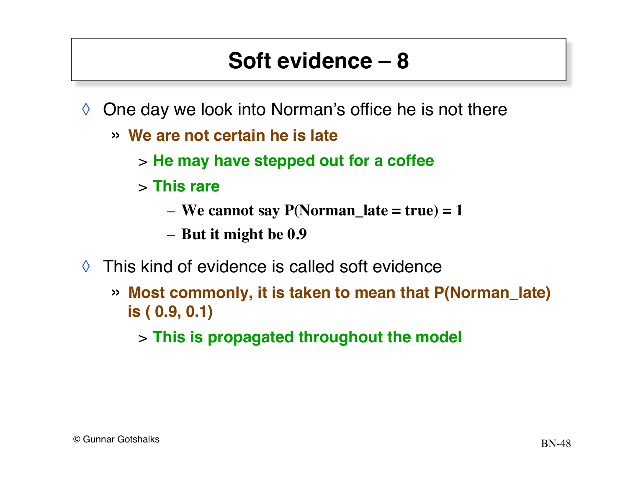- $\Diamond$  One day we look into Norman's office he is not there
	- » **We are not certain he is late**
		- > **He may have stepped out for a coffee**
		- > **This rare**
			- **We cannot say P(Norman\_late = true) = 1**
			- **But it might be 0.9**
- ◊ This kind of evidence is called soft evidence
	- » **Most commonly, it is taken to mean that P(Norman\_late) is ( 0.9, 0.1)**
		- > **This is propagated throughout the model**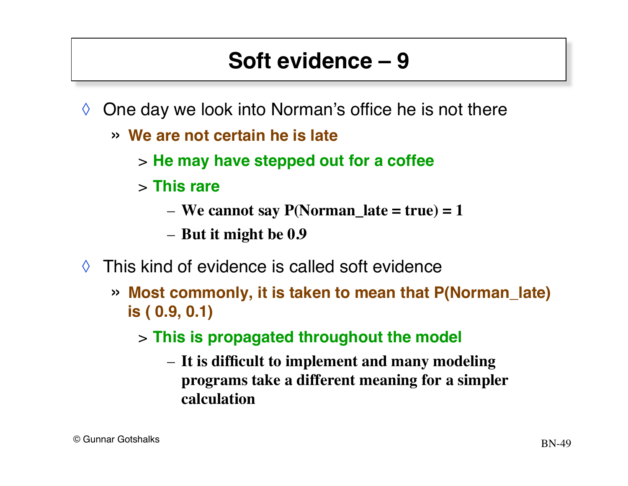- $\Diamond$  One day we look into Norman's office he is not there
	- » **We are not certain he is late**
		- > **He may have stepped out for a coffee**
		- > **This rare**
			- **We cannot say P(Norman\_late = true) = 1**
			- **But it might be 0.9**
- ◊ This kind of evidence is called soft evidence
	- » **Most commonly, it is taken to mean that P(Norman\_late) is ( 0.9, 0.1)**

#### > **This is propagated throughout the model**

– **It is difficult to implement and many modeling programs take a different meaning for a simpler calculation**